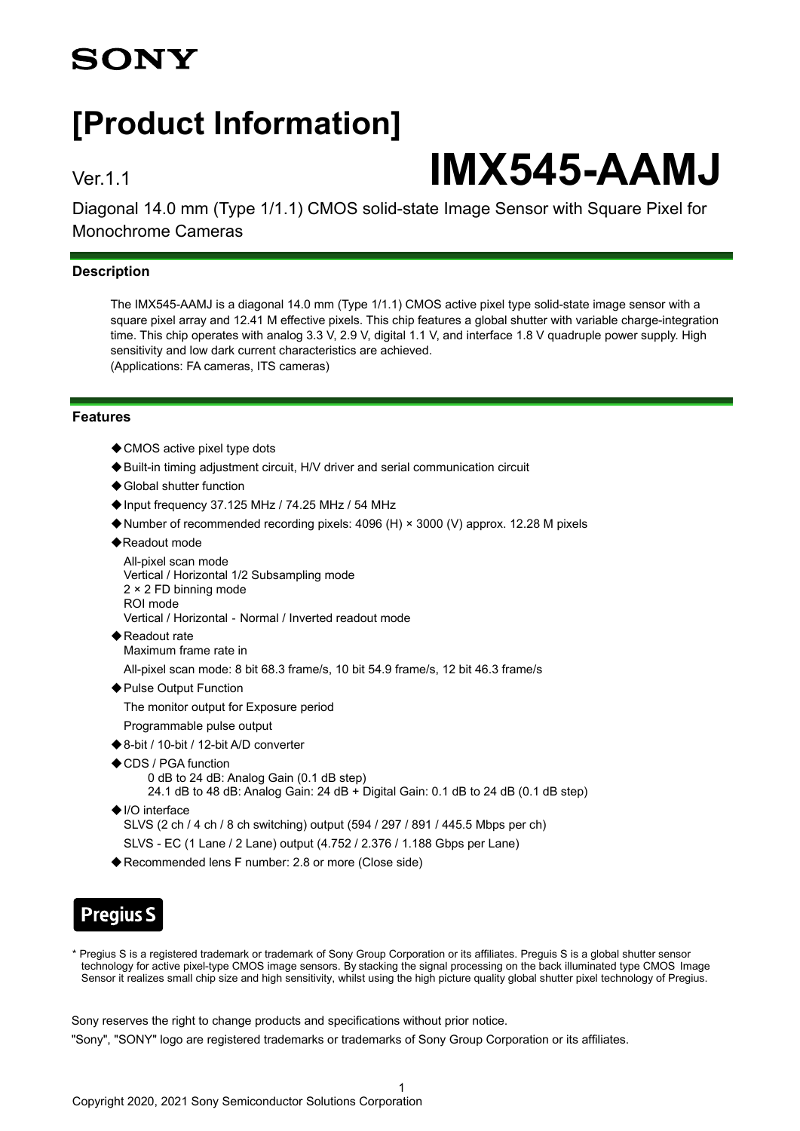## **SONY**

## **[Product Information]**

# Ver.1.1 **IMX545-AAMJ**

Diagonal 14.0 mm (Type 1/1.1) CMOS solid-state Image Sensor with Square Pixel for Monochrome Cameras

## **Description**

The IMX545-AAMJ is a diagonal 14.0 mm (Type 1/1.1) CMOS active pixel type solid-state image sensor with a square pixel array and 12.41 M effective pixels. This chip features a global shutter with variable charge-integration time. This chip operates with analog 3.3 V, 2.9 V, digital 1.1 V, and interface 1.8 V guadruple power supply. High sensitivity and low dark current characteristics are achieved. (Applications: FA cameras, ITS cameras)

#### **Features**

- ◆ CMOS active pixel type dots
- ◆Built-in timing adjustment circuit, H/V driver and serial communication circuit
- ◆ Global shutter function
- ◆Input frequency 37.125 MHz / 74.25 MHz / 54 MHz
- ◆Number of recommended recording pixels: 4096 (H) × 3000 (V) approx. 12.28 M pixels
- ◆Readout mode

```
All-pixel scan mode
Vertical / Horizontal 1/2 Subsampling mode
2 × 2 FD binning mode
ROI mode
Vertical / Horizontal - Normal / Inverted readout mode
```
◆Readout rate Maximum frame rate in

All-pixel scan mode: 8 bit 68.3 frame/s, 10 bit 54.9 frame/s, 12 bit 46.3 frame/s

◆ Pulse Output Function

The monitor output for Exposure period

- Programmable pulse output
- ◆8-bit / 10-bit / 12-bit A/D converter
- ◆CDS / PGA function 0 dB to 24 dB: Analog Gain (0.1 dB step)
	- 24.1 dB to 48 dB: Analog Gain: 24 dB + Digital Gain: 0.1 dB to 24 dB (0.1 dB step)
- ◆I/O interface
	- SLVS (2 ch / 4 ch / 8 ch switching) output (594 / 297 / 891 / 445.5 Mbps per ch)
	- SLVS EC (1 Lane / 2 Lane) output (4.752 / 2.376 / 1.188 Gbps per Lane)
- ◆Recommended lens F number: 2.8 or more (Close side)

## **Pregius S**

\* Pregius S is a registered trademark or trademark of Sony Group Corporation or its affiliates. Preguis S is a global shutter sensor technology for active pixel-type CMOS image sensors. By stacking the signal processing on the back illuminated type CMOS Image Sensor it realizes small chip size and high sensitivity, whilst using the high picture quality global shutter pixel technology of Pregius.

Sony reserves the right to change products and specifications without prior notice.

"Sony", "SONY" logo are registered trademarks or trademarks of Sony Group Corporation or its affiliates.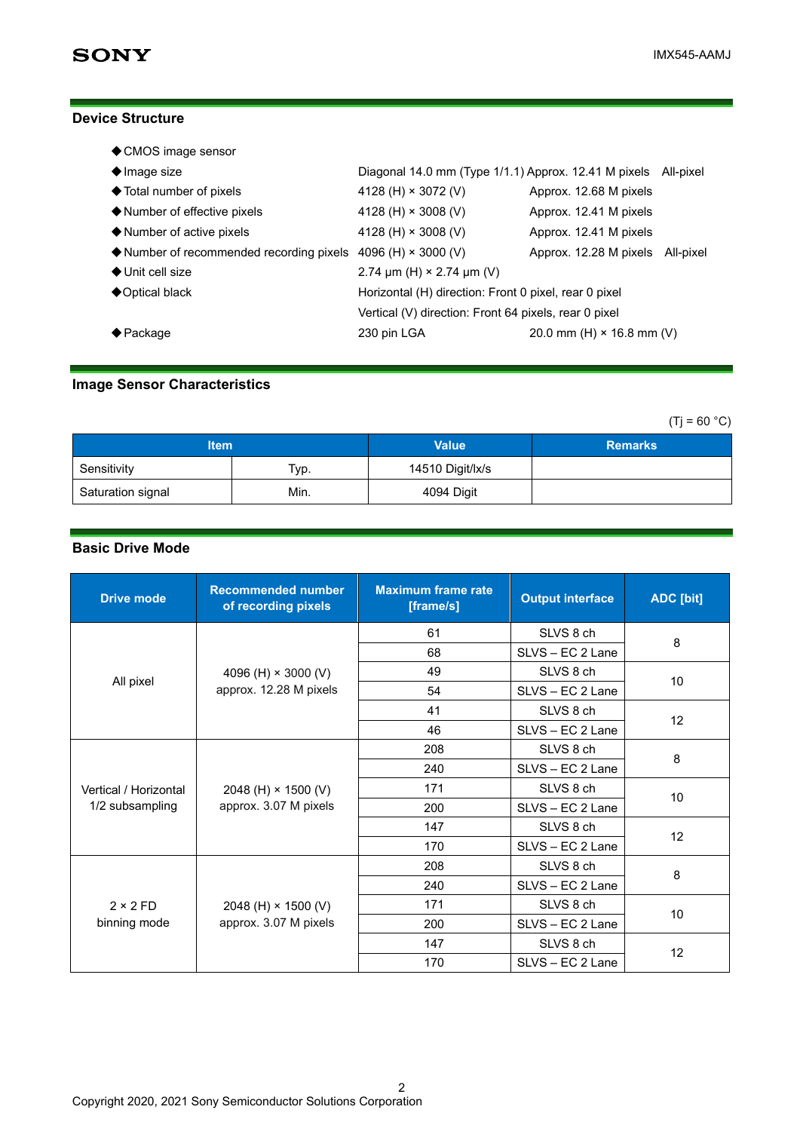## **Device Structure**

| ♦ CMOS image sensor                                                               |                                                                |                                  |  |
|-----------------------------------------------------------------------------------|----------------------------------------------------------------|----------------------------------|--|
| $\blacklozenge$ Image size                                                        | Diagonal 14.0 mm (Type 1/1.1) Approx. 12.41 M pixels All-pixel |                                  |  |
| ◆ Total number of pixels                                                          | 4128 (H) $\times$ 3072 (V)                                     | Approx. 12.68 M pixels           |  |
| ♦ Number of effective pixels                                                      | 4128 (H) $\times$ 3008 (V)                                     | Approx. 12.41 M pixels           |  |
| $\blacklozenge$ Number of active pixels                                           | 4128 (H) $\times$ 3008 (V)                                     | Approx. 12.41 M pixels           |  |
| $\blacklozenge$ Number of recommended recording pixels 4096 (H) $\times$ 3000 (V) |                                                                | Approx. 12.28 M pixels All-pixel |  |
| $\bigstar$ Unit cell size                                                         | 2.74 $\mu$ m (H) × 2.74 $\mu$ m (V)                            |                                  |  |
| $\bigcirc$ Optical black                                                          | Horizontal (H) direction: Front 0 pixel, rear 0 pixel          |                                  |  |
| Vertical (V) direction: Front 64 pixels, rear 0 pixel                             |                                                                |                                  |  |
| $\biglozenge$ Package                                                             | 230 pin LGA                                                    | 20.0 mm (H) $\times$ 16.8 mm (V) |  |
|                                                                                   |                                                                |                                  |  |

## **Image Sensor Characteristics**

 $(Ti = 60 °C)$ 

| ltem              |      | <b>Value</b>     | <b>Remarks</b> |
|-------------------|------|------------------|----------------|
| Sensitivity       | Тур. | 14510 Digit/lx/s |                |
| Saturation signal | Min. | 4094 Digit       |                |

## **Basic Drive Mode**

| <b>Drive mode</b>                        | <b>Recommended number</b><br>of recording pixels     | <b>Maximum frame rate</b><br>[frame/s] | <b>Output interface</b> | <b>ADC</b> [bit] |
|------------------------------------------|------------------------------------------------------|----------------------------------------|-------------------------|------------------|
|                                          | 4096 (H) $\times$ 3000 (V)<br>approx. 12.28 M pixels | 61                                     | SLVS 8 ch               | 8                |
|                                          |                                                      | 68                                     | SLVS - EC 2 Lane        |                  |
|                                          |                                                      | 49                                     | SLVS 8 ch               | 10               |
| All pixel                                |                                                      | 54                                     | SLVS - EC 2 Lane        |                  |
|                                          |                                                      | 41                                     | SLVS 8 ch               |                  |
|                                          |                                                      | 46                                     | SLVS - EC 2 Lane        | 12               |
| Vertical / Horizontal<br>1/2 subsampling | 2048 (H) $\times$ 1500 (V)<br>approx. 3.07 M pixels  | 208                                    | SLVS 8 ch               | 8                |
|                                          |                                                      | 240                                    | SLVS - EC 2 Lane        |                  |
|                                          |                                                      | 171                                    | SLVS 8 ch               | 10<br>12         |
|                                          |                                                      | 200                                    | SLVS - EC 2 Lane        |                  |
|                                          |                                                      | 147                                    | SLVS 8 ch               |                  |
|                                          |                                                      | 170                                    | SLVS - EC 2 Lane        |                  |
| $2 \times 2$ FD<br>binning mode          | 2048 (H) $\times$ 1500 (V)<br>approx. 3.07 M pixels  | 208                                    | SLVS 8 ch               | 8                |
|                                          |                                                      | 240                                    | SLVS - EC 2 Lane        |                  |
|                                          |                                                      | 171                                    | SLVS 8 ch               | 10               |
|                                          |                                                      | 200                                    | SLVS - EC 2 Lane        |                  |
|                                          |                                                      | 147                                    | SLVS 8 ch               | 12               |
|                                          |                                                      | 170                                    | SLVS - EC 2 Lane        |                  |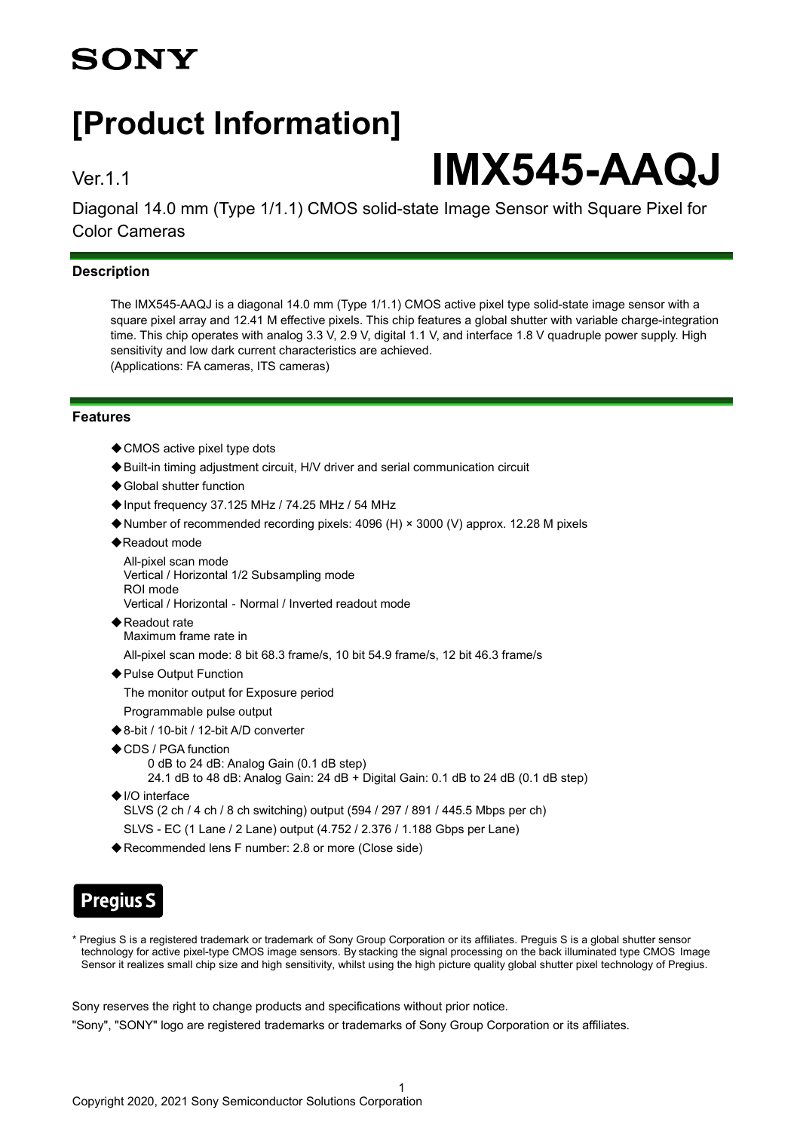## **SONY**

## **[Product Information]**

# Ver.1.1 **IMX545-AAQJ**

Diagonal 14.0 mm (Type 1/1.1) CMOS solid-state Image Sensor with Square Pixel for Color Cameras

## **Description**

The IMX545-AAQJ is a diagonal 14.0 mm (Type 1/1.1) CMOS active pixel type solid-state image sensor with a square pixel array and 12.41 M effective pixels. This chip features a global shutter with variable charge-integration time. This chip operates with analog 3.3 V, 2.9 V, digital 1.1 V, and interface 1.8 V guadruple power supply. High sensitivity and low dark current characteristics are achieved. (Applications: FA cameras, ITS cameras)

#### **Features**

- ◆ CMOS active pixel type dots
- ◆Built-in timing adjustment circuit, H/V driver and serial communication circuit
- ◆ Global shutter function
- ◆Input frequency 37.125 MHz / 74.25 MHz / 54 MHz
- ◆Number of recommended recording pixels: 4096 (H) × 3000 (V) approx. 12.28 M pixels
- ◆Readout mode
	- All-pixel scan mode Vertical / Horizontal 1/2 Subsampling mode ROI mode Vertical / Horizontal‐Normal / Inverted readout mode
- ◆ Readout rate Maximum frame rate in
	- All-pixel scan mode: 8 bit 68.3 frame/s, 10 bit 54.9 frame/s, 12 bit 46.3 frame/s
- ◆ Pulse Output Function
	- The monitor output for Exposure period
- Programmable pulse output
- ◆8-bit / 10-bit / 12-bit A/D converter
- ◆CDS / PGA function
	- 0 dB to 24 dB: Analog Gain (0.1 dB step)
	- 24.1 dB to 48 dB: Analog Gain: 24 dB + Digital Gain: 0.1 dB to 24 dB (0.1 dB step)
- ◆I/O interface SLVS (2 ch / 4 ch / 8 ch switching) output (594 / 297 / 891 / 445.5 Mbps per ch) SLVS - EC (1 Lane / 2 Lane) output (4.752 / 2.376 / 1.188 Gbps per Lane)
- ◆Recommended lens F number: 2.8 or more (Close side)

## **Pregius S**

\* Pregius S is a registered trademark or trademark of Sony Group Corporation or its affiliates. Preguis S is a global shutter sensor technology for active pixel-type CMOS image sensors. By stacking the signal processing on the back illuminated type CMOS Image Sensor it realizes small chip size and high sensitivity, whilst using the high picture quality global shutter pixel technology of Pregius.

Sony reserves the right to change products and specifications without prior notice.

"Sony", "SONY" logo are registered trademarks or trademarks of Sony Group Corporation or its affiliates.